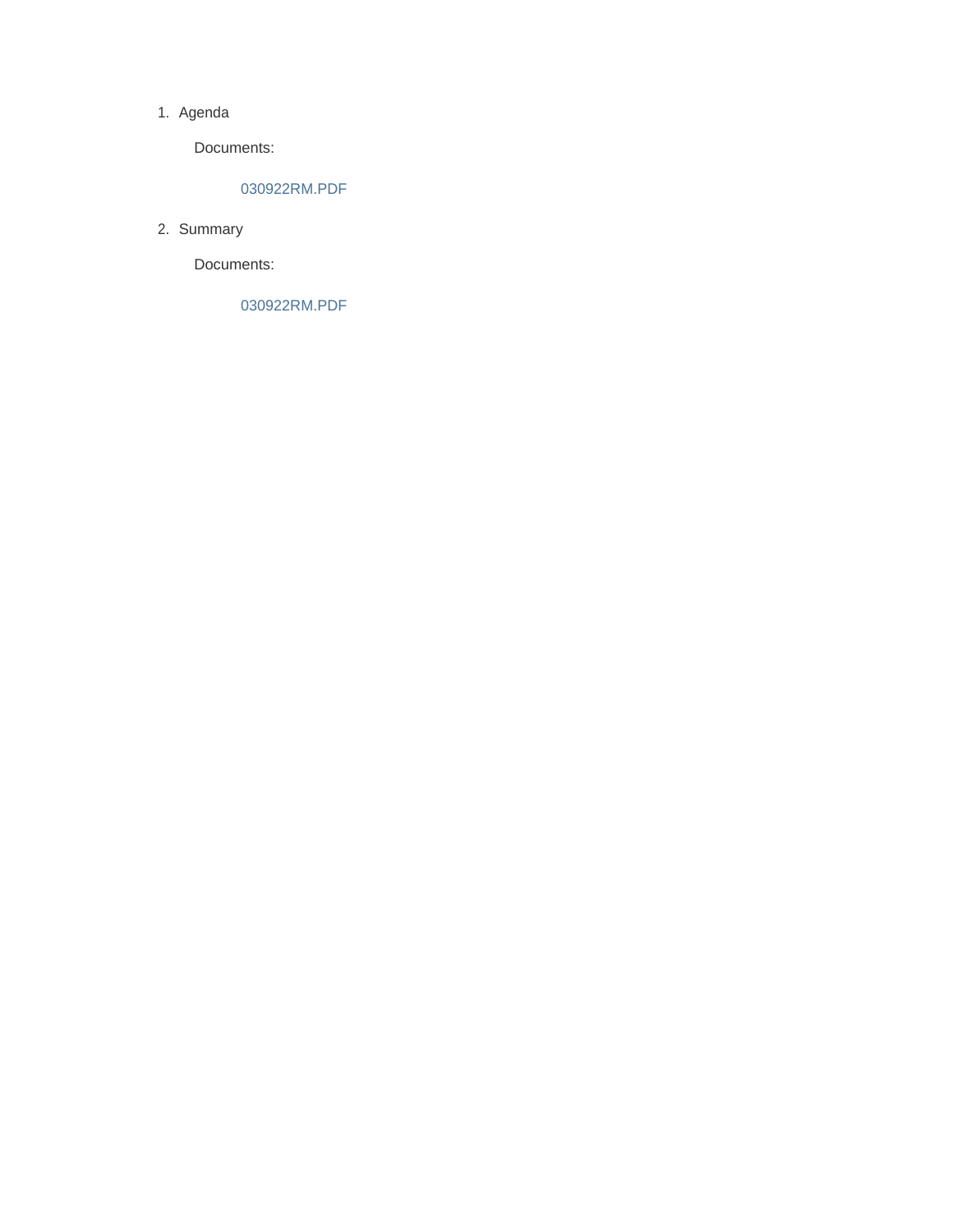#### 1. Agenda

Documents:

### 030922RM.PDF

2. Summary

Documents:

030922RM.PDF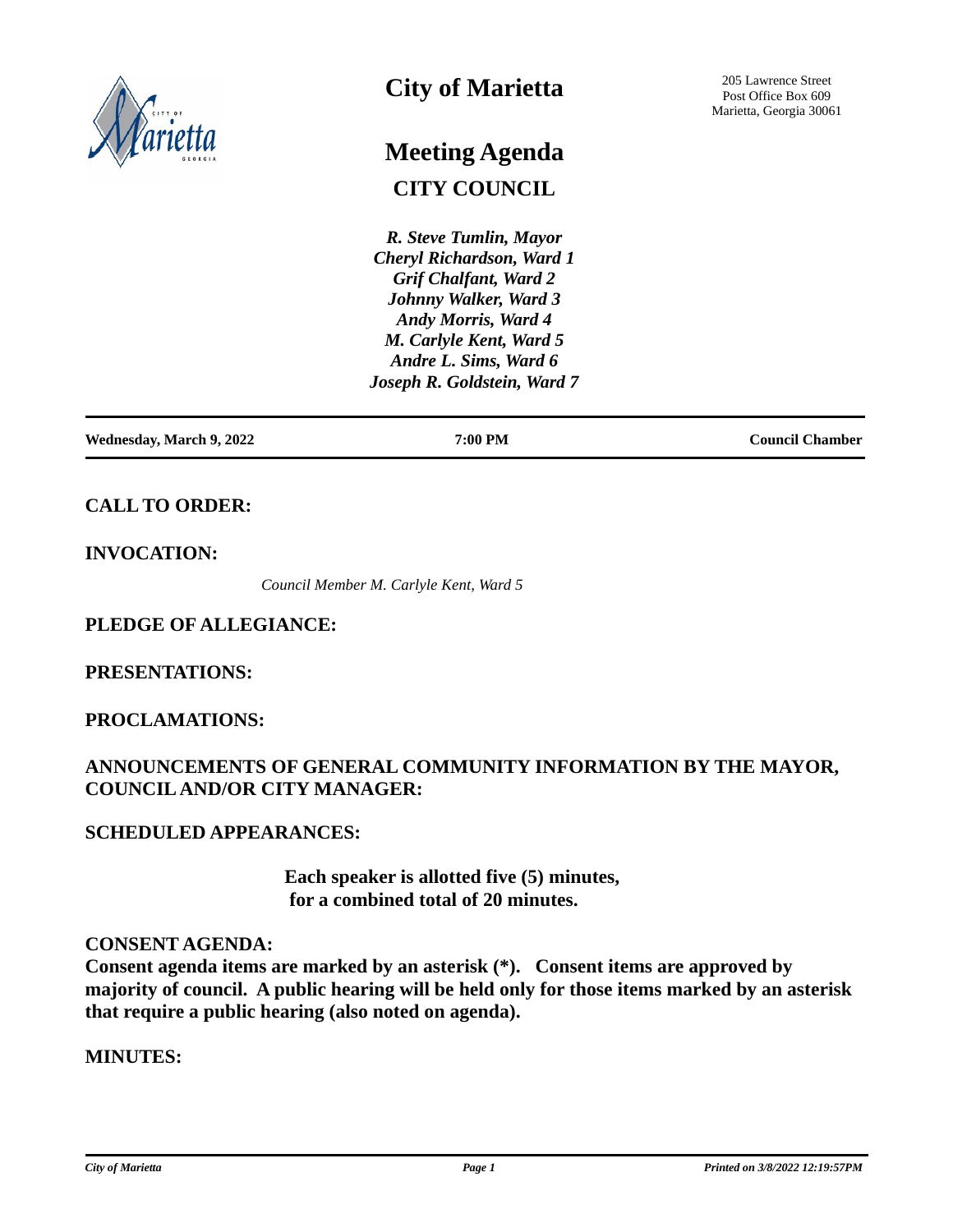

# **City of Marietta**

# **CITY COUNCIL Meeting Agenda**

*R. Steve Tumlin, Mayor Cheryl Richardson, Ward 1 Grif Chalfant, Ward 2 Johnny Walker, Ward 3 Andy Morris, Ward 4 M. Carlyle Kent, Ward 5 Andre L. Sims, Ward 6 Joseph R. Goldstein, Ward 7*

| <b>Wednesday, March 9, 2022</b> | 7:00 PM | <b>Council Chamber</b> |
|---------------------------------|---------|------------------------|
|                                 |         |                        |

# **CALL TO ORDER:**

# **INVOCATION:**

*Council Member M. Carlyle Kent, Ward 5*

# **PLEDGE OF ALLEGIANCE:**

# **PRESENTATIONS:**

# **PROCLAMATIONS:**

# **ANNOUNCEMENTS OF GENERAL COMMUNITY INFORMATION BY THE MAYOR, COUNCIL AND/OR CITY MANAGER:**

# **SCHEDULED APPEARANCES:**

 **Each speaker is allotted five (5) minutes, for a combined total of 20 minutes.**

## **CONSENT AGENDA:**

**Consent agenda items are marked by an asterisk (\*). Consent items are approved by majority of council. A public hearing will be held only for those items marked by an asterisk that require a public hearing (also noted on agenda).**

## **MINUTES:**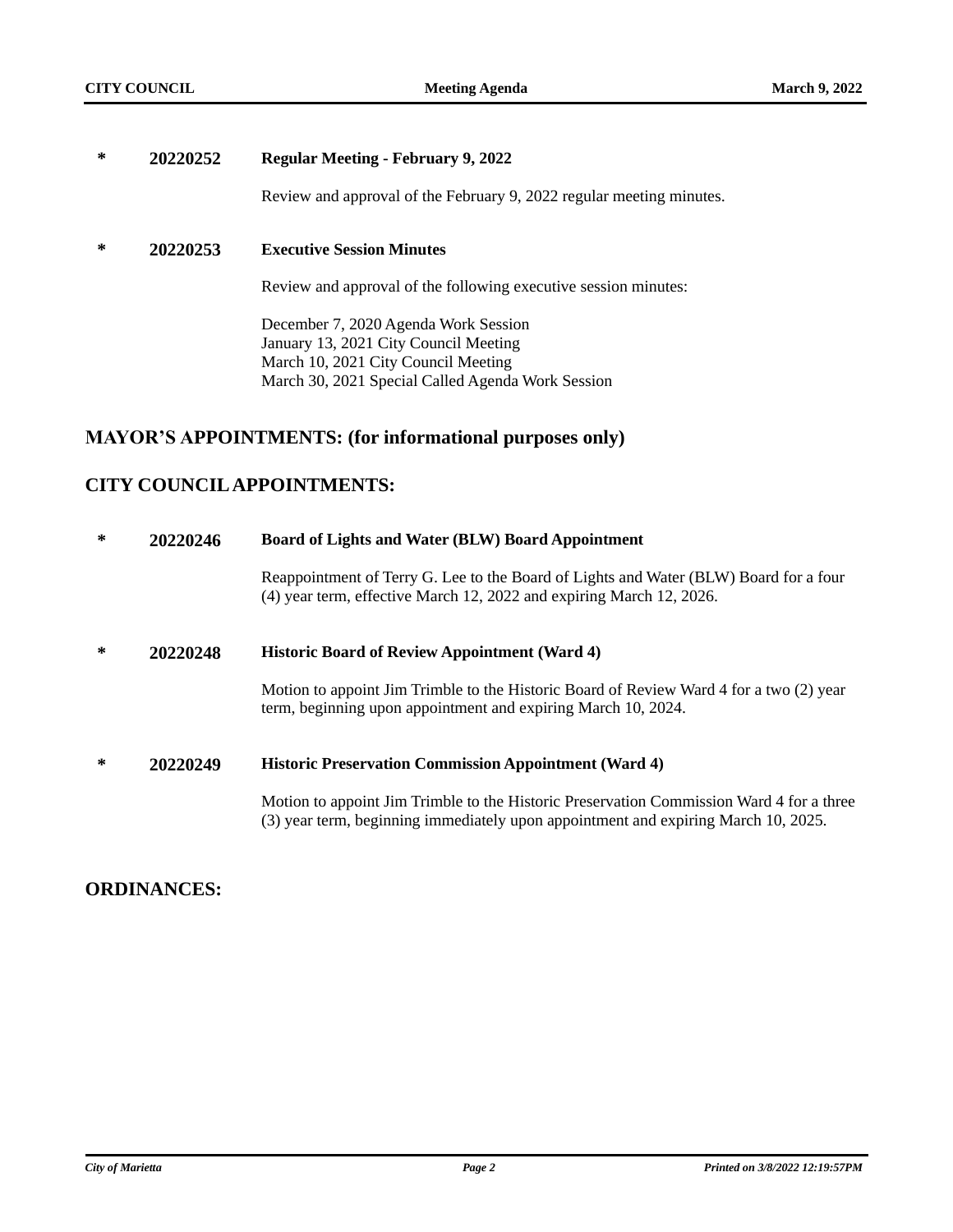### **\* 20220252 Regular Meeting - February 9, 2022**

Review and approval of the February 9, 2022 regular meeting minutes.

### **\* 20220253 Executive Session Minutes**

Review and approval of the following executive session minutes:

December 7, 2020 Agenda Work Session January 13, 2021 City Council Meeting March 10, 2021 City Council Meeting March 30, 2021 Special Called Agenda Work Session

## **MAYOR'S APPOINTMENTS: (for informational purposes only)**

# **CITY COUNCIL APPOINTMENTS:**

### **\* 20220246 Board of Lights and Water (BLW) Board Appointment**

Reappointment of Terry G. Lee to the Board of Lights and Water (BLW) Board for a four (4) year term, effective March 12, 2022 and expiring March 12, 2026.

### **\* 20220248 Historic Board of Review Appointment (Ward 4)**

Motion to appoint Jim Trimble to the Historic Board of Review Ward 4 for a two (2) year term, beginning upon appointment and expiring March 10, 2024.

### **\* 20220249 Historic Preservation Commission Appointment (Ward 4)**

Motion to appoint Jim Trimble to the Historic Preservation Commission Ward 4 for a three (3) year term, beginning immediately upon appointment and expiring March 10, 2025.

## **ORDINANCES:**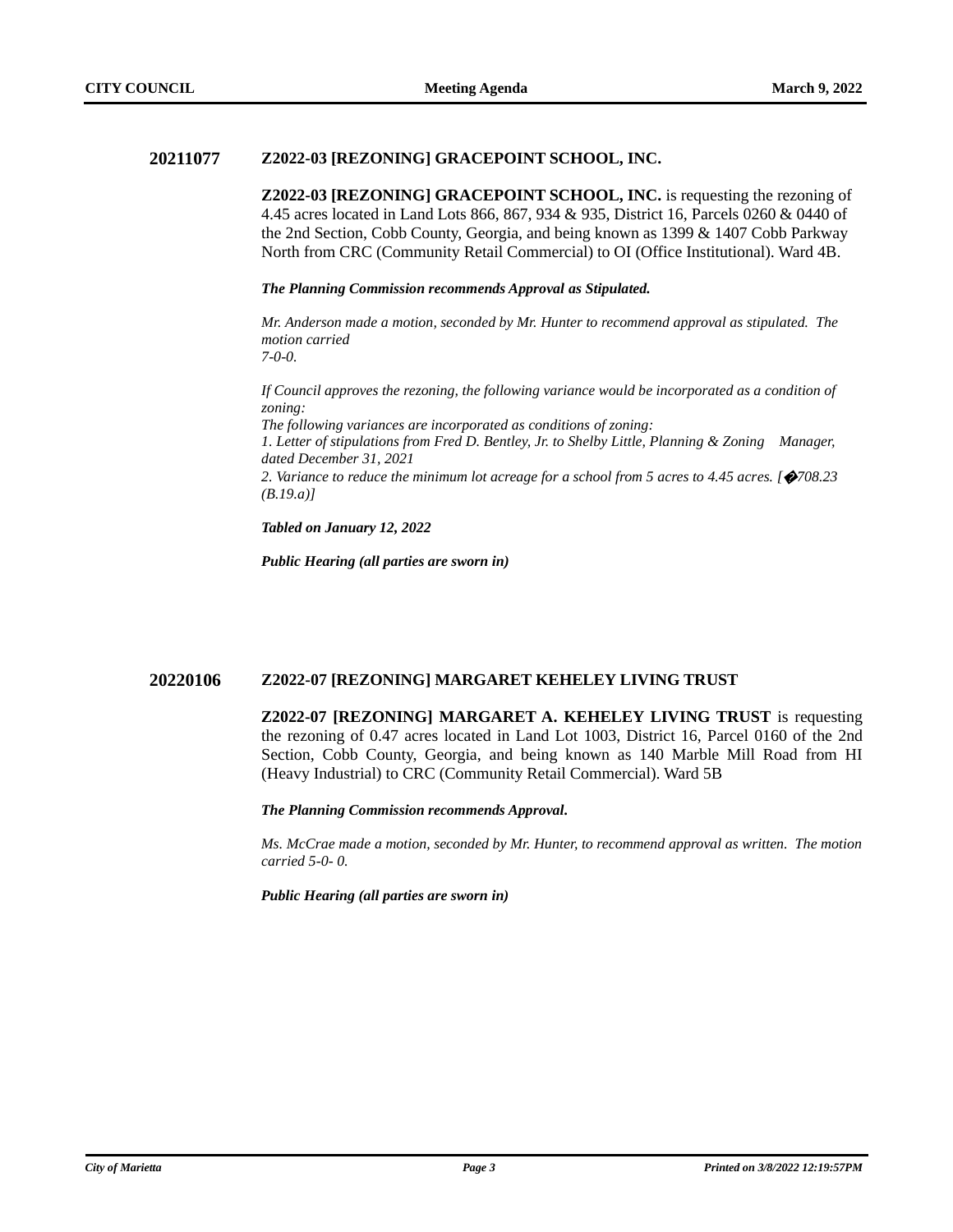### **20211077 Z2022-03 [REZONING] GRACEPOINT SCHOOL, INC.**

**Z2022-03 [REZONING] GRACEPOINT SCHOOL, INC.** is requesting the rezoning of 4.45 acres located in Land Lots 866, 867, 934 & 935, District 16, Parcels 0260 & 0440 of the 2nd Section, Cobb County, Georgia, and being known as 1399 & 1407 Cobb Parkway North from CRC (Community Retail Commercial) to OI (Office Institutional). Ward 4B.

#### *The Planning Commission recommends Approval as Stipulated.*

*Mr. Anderson made a motion, seconded by Mr. Hunter to recommend approval as stipulated. The motion carried 7-0-0.*

*If Council approves the rezoning, the following variance would be incorporated as a condition of zoning:*

*The following variances are incorporated as conditions of zoning:*

*1. Letter of stipulations from Fred D. Bentley, Jr. to Shelby Little, Planning & Zoning Manager, dated December 31, 2021*

*2. Variance to reduce the minimum lot acreage for a school from 5 acres to 4.45 acres. [*�*708.23 (B.19.a)]*

*Tabled on January 12, 2022*

*Public Hearing (all parties are sworn in)*

### **20220106 Z2022-07 [REZONING] MARGARET KEHELEY LIVING TRUST**

**Z2022-07 [REZONING] MARGARET A. KEHELEY LIVING TRUST** is requesting the rezoning of 0.47 acres located in Land Lot 1003, District 16, Parcel 0160 of the 2nd Section, Cobb County, Georgia, and being known as 140 Marble Mill Road from HI (Heavy Industrial) to CRC (Community Retail Commercial). Ward 5B

*The Planning Commission recommends Approval.*

*Ms. McCrae made a motion, seconded by Mr. Hunter, to recommend approval as written. The motion carried 5-0- 0.*

*Public Hearing (all parties are sworn in)*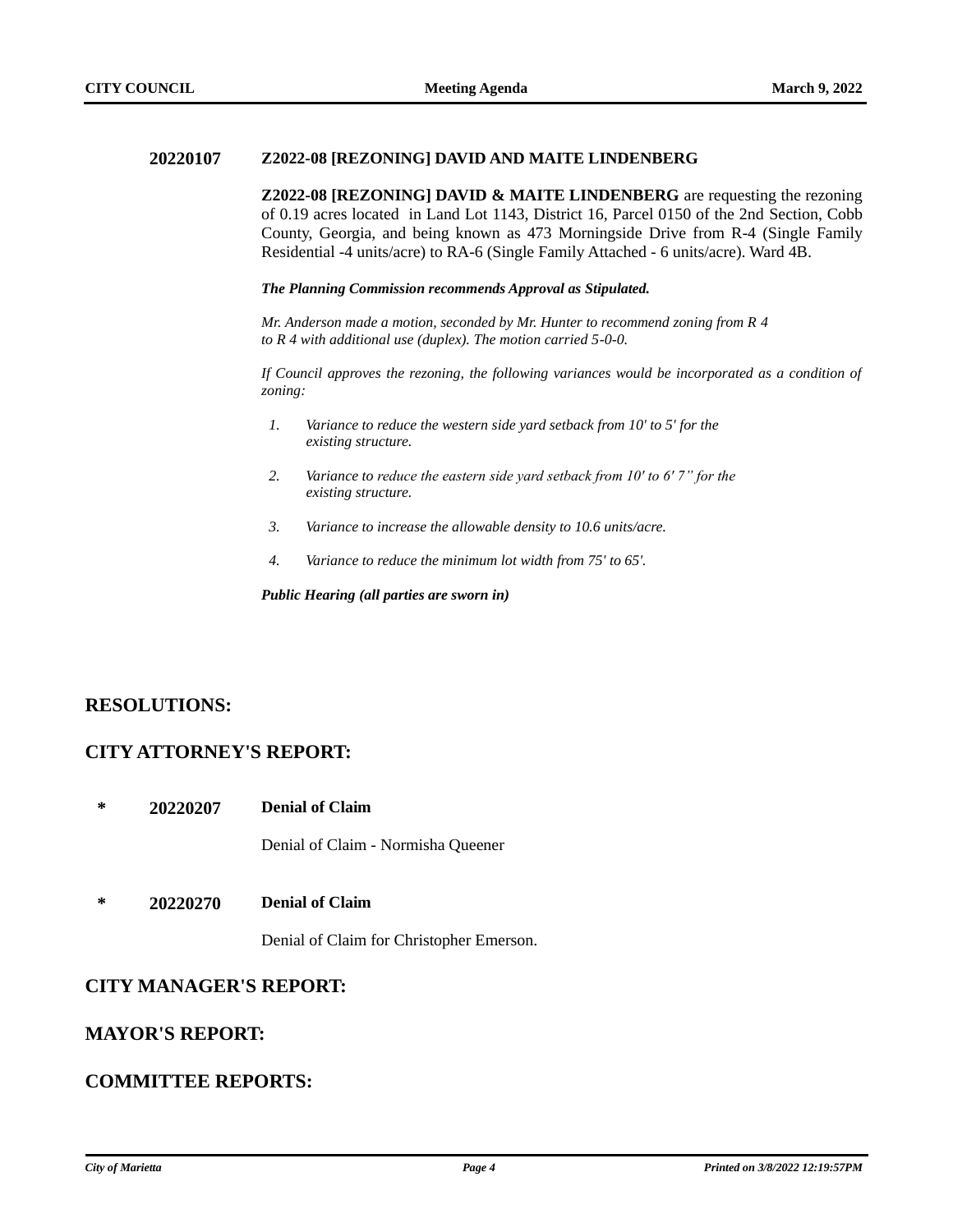### **20220107 Z2022-08 [REZONING] DAVID AND MAITE LINDENBERG**

**Z2022-08 [REZONING] DAVID & MAITE LINDENBERG** are requesting the rezoning of 0.19 acres located in Land Lot 1143, District 16, Parcel 0150 of the 2nd Section, Cobb County, Georgia, and being known as 473 Morningside Drive from R-4 (Single Family Residential -4 units/acre) to RA-6 (Single Family Attached - 6 units/acre). Ward 4B.

*The Planning Commission recommends Approval as Stipulated.*

*Mr. Anderson made a motion, seconded by Mr. Hunter to recommend zoning from R 4 to R 4 with additional use (duplex). The motion carried 5-0-0.*

*If Council approves the rezoning, the following variances would be incorporated as a condition of zoning:*

- *1. Variance to reduce the western side yard setback from 10' to 5' for the existing structure.*
- *2. Variance to reduce the eastern side yard setback from 10' to 6' 7" for the existing structure.*
- *3. Variance to increase the allowable density to 10.6 units/acre.*
- *4. Variance to reduce the minimum lot width from 75' to 65'.*

*Public Hearing (all parties are sworn in)*

## **RESOLUTIONS:**

## **CITY ATTORNEY'S REPORT:**

**\* 20220207 Denial of Claim**

Denial of Claim - Normisha Queener

**\* 20220270 Denial of Claim**

Denial of Claim for Christopher Emerson.

## **CITY MANAGER'S REPORT:**

## **MAYOR'S REPORT:**

# **COMMITTEE REPORTS:**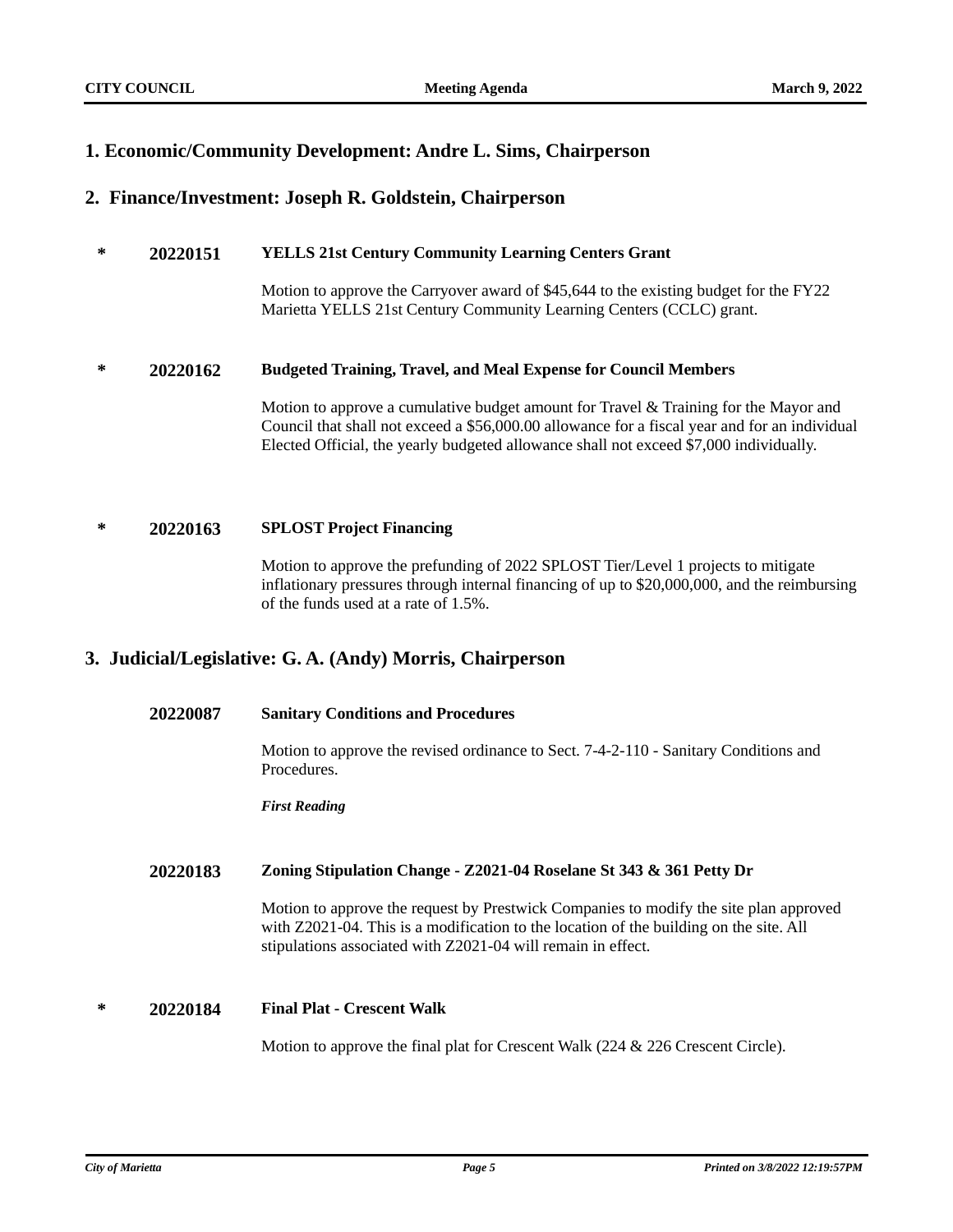# **1. Economic/Community Development: Andre L. Sims, Chairperson**

### **2. Finance/Investment: Joseph R. Goldstein, Chairperson**

### **\* 20220151 YELLS 21st Century Community Learning Centers Grant**

Motion to approve the Carryover award of \$45,644 to the existing budget for the FY22 Marietta YELLS 21st Century Community Learning Centers (CCLC) grant.

### **\* 20220162 Budgeted Training, Travel, and Meal Expense for Council Members**

Motion to approve a cumulative budget amount for Travel & Training for the Mayor and Council that shall not exceed a \$56,000.00 allowance for a fiscal year and for an individual Elected Official, the yearly budgeted allowance shall not exceed \$7,000 individually.

### **\* 20220163 SPLOST Project Financing**

Motion to approve the prefunding of 2022 SPLOST Tier/Level 1 projects to mitigate inflationary pressures through internal financing of up to \$20,000,000, and the reimbursing of the funds used at a rate of 1.5%.

## **3. Judicial/Legislative: G. A. (Andy) Morris, Chairperson**

### **20220087 Sanitary Conditions and Procedures**

Motion to approve the revised ordinance to Sect. 7-4-2-110 - Sanitary Conditions and Procedures.

*First Reading*

### **20220183 Zoning Stipulation Change - Z2021-04 Roselane St 343 & 361 Petty Dr**

Motion to approve the request by Prestwick Companies to modify the site plan approved with Z2021-04. This is a modification to the location of the building on the site. All stipulations associated with Z2021-04 will remain in effect.

### **\* 20220184 Final Plat - Crescent Walk**

Motion to approve the final plat for Crescent Walk (224 & 226 Crescent Circle).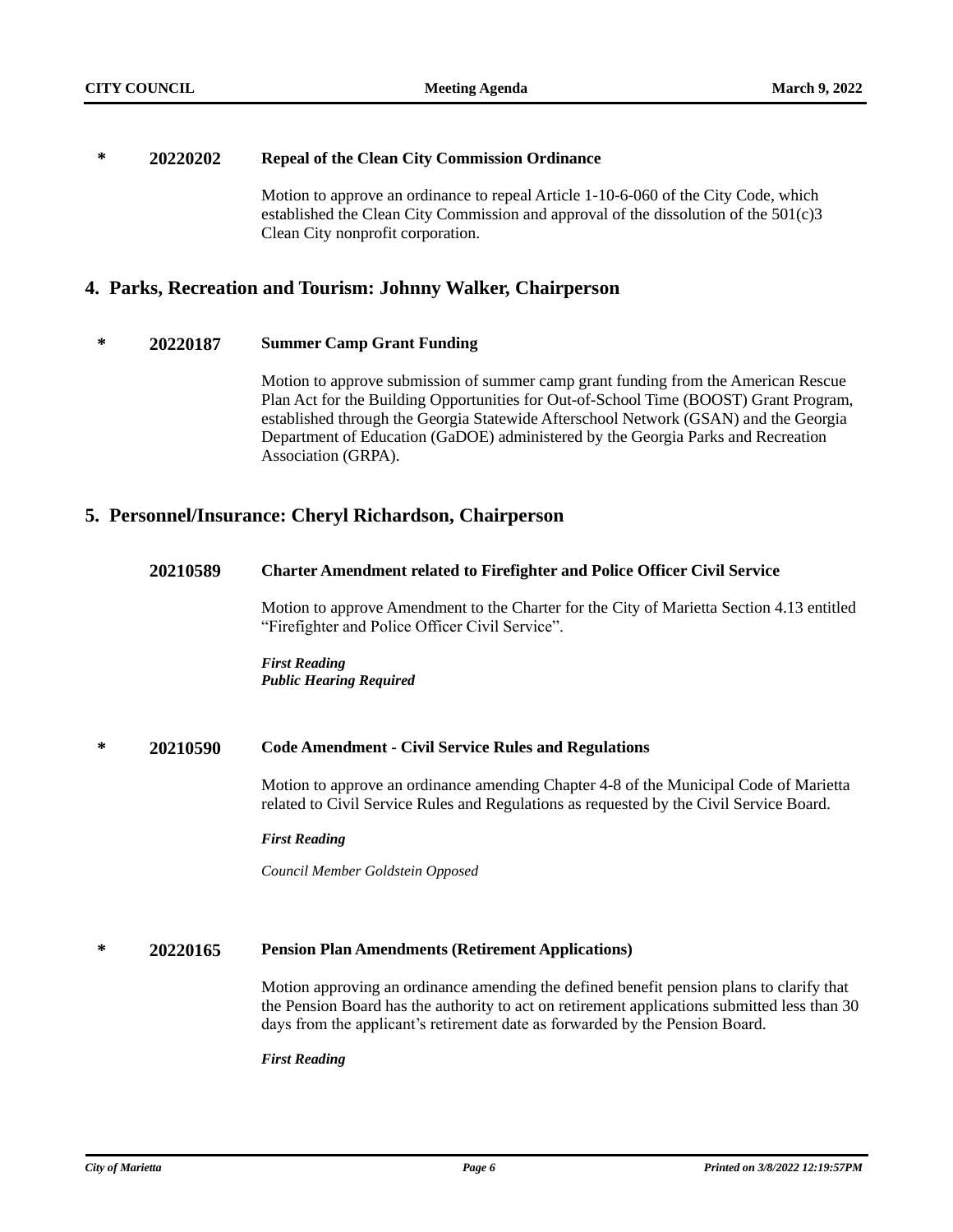### **\* 20220202 Repeal of the Clean City Commission Ordinance**

Motion to approve an ordinance to repeal Article 1-10-6-060 of the City Code, which established the Clean City Commission and approval of the dissolution of the  $501(c)3$ Clean City nonprofit corporation.

### **4. Parks, Recreation and Tourism: Johnny Walker, Chairperson**

### **\* 20220187 Summer Camp Grant Funding**

Motion to approve submission of summer camp grant funding from the American Rescue Plan Act for the Building Opportunities for Out-of-School Time (BOOST) Grant Program, established through the Georgia Statewide Afterschool Network (GSAN) and the Georgia Department of Education (GaDOE) administered by the Georgia Parks and Recreation Association (GRPA).

### **5. Personnel/Insurance: Cheryl Richardson, Chairperson**

### **20210589 Charter Amendment related to Firefighter and Police Officer Civil Service**

Motion to approve Amendment to the Charter for the City of Marietta Section 4.13 entitled "Firefighter and Police Officer Civil Service".

*First Reading Public Hearing Required*

### **\* 20210590 Code Amendment - Civil Service Rules and Regulations**

Motion to approve an ordinance amending Chapter 4-8 of the Municipal Code of Marietta related to Civil Service Rules and Regulations as requested by the Civil Service Board.

### *First Reading*

*Council Member Goldstein Opposed*

### **\* 20220165 Pension Plan Amendments (Retirement Applications)**

Motion approving an ordinance amending the defined benefit pension plans to clarify that the Pension Board has the authority to act on retirement applications submitted less than 30 days from the applicant's retirement date as forwarded by the Pension Board.

### *First Reading*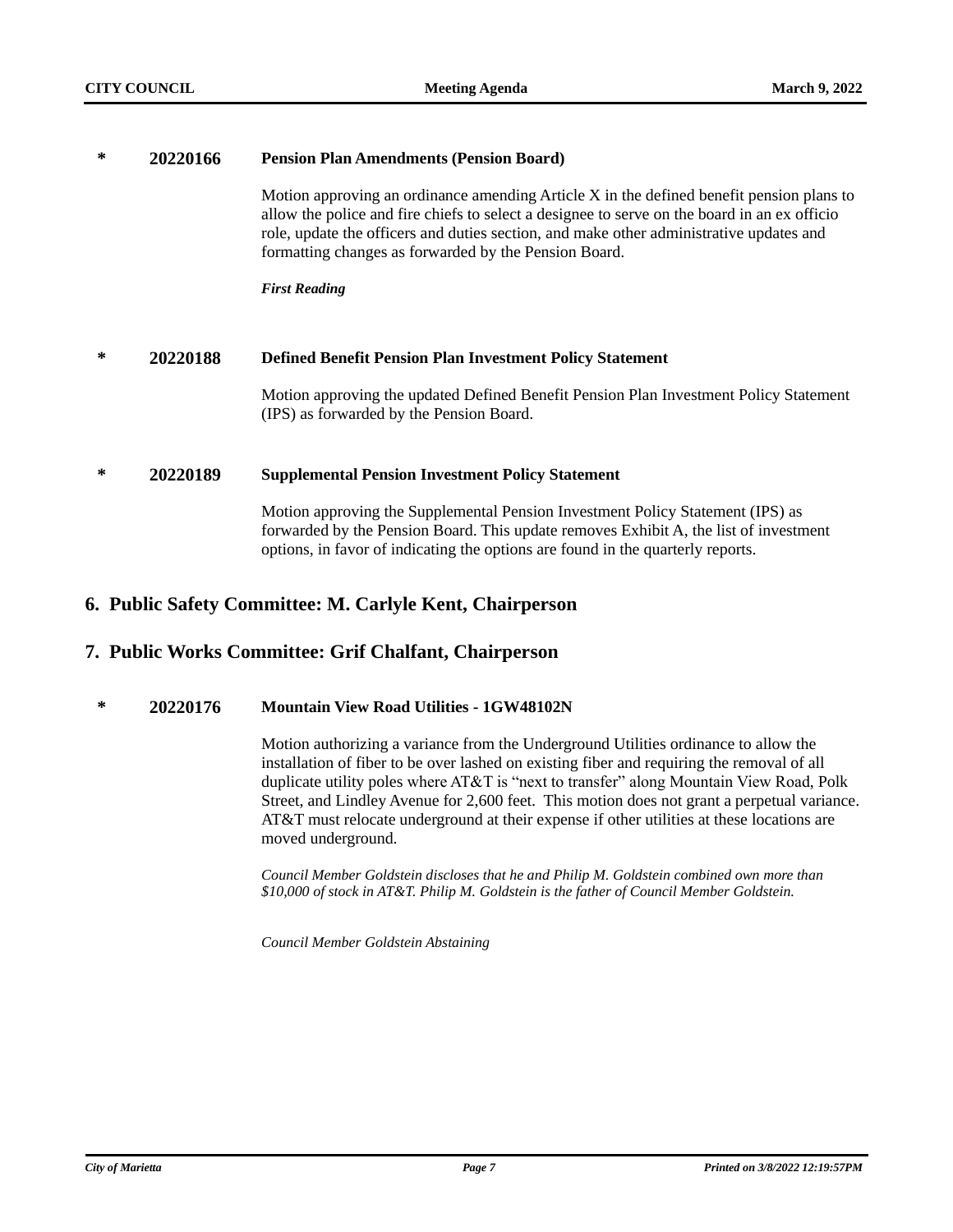| ∗ | 20220166 | <b>Pension Plan Amendments (Pension Board)</b>                                                                                                                                                                                                                                                                                               |  |
|---|----------|----------------------------------------------------------------------------------------------------------------------------------------------------------------------------------------------------------------------------------------------------------------------------------------------------------------------------------------------|--|
|   |          | Motion approving an ordinance amending Article X in the defined benefit pension plans to<br>allow the police and fire chiefs to select a designee to serve on the board in an ex officio<br>role, update the officers and duties section, and make other administrative updates and<br>formatting changes as forwarded by the Pension Board. |  |
|   |          | <b>First Reading</b>                                                                                                                                                                                                                                                                                                                         |  |
|   |          |                                                                                                                                                                                                                                                                                                                                              |  |
| ∗ | 20220188 | <b>Defined Benefit Pension Plan Investment Policy Statement</b>                                                                                                                                                                                                                                                                              |  |
|   |          | Motion approving the updated Defined Benefit Pension Plan Investment Policy Statement<br>(IPS) as forwarded by the Pension Board.                                                                                                                                                                                                            |  |
| ∗ | 20220189 | <b>Supplemental Pension Investment Policy Statement</b>                                                                                                                                                                                                                                                                                      |  |
|   |          | Motion approving the Supplemental Pension Investment Policy Statement (IPS) as<br>forwarded by the Pension Board. This update removes Exhibit A, the list of investment<br>options, in favor of indicating the options are found in the quarterly reports.                                                                                   |  |

# **6. Public Safety Committee: M. Carlyle Kent, Chairperson**

# **7. Public Works Committee: Grif Chalfant, Chairperson**

# **\* 20220176 Mountain View Road Utilities - 1GW48102N**

Motion authorizing a variance from the Underground Utilities ordinance to allow the installation of fiber to be over lashed on existing fiber and requiring the removal of all duplicate utility poles where AT&T is "next to transfer" along Mountain View Road, Polk Street, and Lindley Avenue for 2,600 feet. This motion does not grant a perpetual variance. AT&T must relocate underground at their expense if other utilities at these locations are moved underground.

*Council Member Goldstein discloses that he and Philip M. Goldstein combined own more than \$10,000 of stock in AT&T. Philip M. Goldstein is the father of Council Member Goldstein.*

*Council Member Goldstein Abstaining*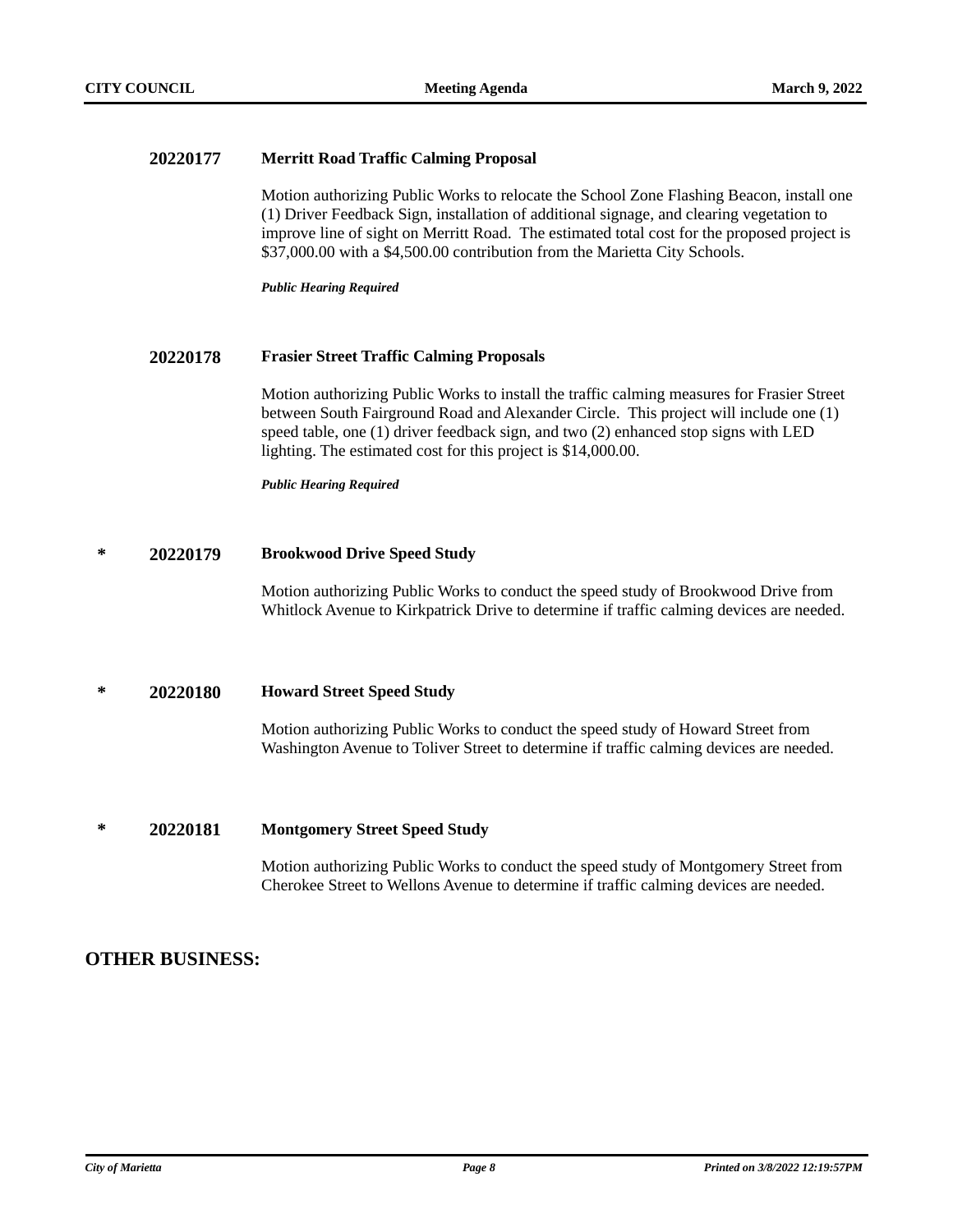### **20220177 Merritt Road Traffic Calming Proposal**

Motion authorizing Public Works to relocate the School Zone Flashing Beacon, install one (1) Driver Feedback Sign, installation of additional signage, and clearing vegetation to improve line of sight on Merritt Road. The estimated total cost for the proposed project is \$37,000.00 with a \$4,500.00 contribution from the Marietta City Schools.

*Public Hearing Required*

### **20220178 Frasier Street Traffic Calming Proposals**

Motion authorizing Public Works to install the traffic calming measures for Frasier Street between South Fairground Road and Alexander Circle. This project will include one (1) speed table, one (1) driver feedback sign, and two (2) enhanced stop signs with LED lighting. The estimated cost for this project is \$14,000.00.

*Public Hearing Required*

### **\* 20220179 Brookwood Drive Speed Study**

Motion authorizing Public Works to conduct the speed study of Brookwood Drive from Whitlock Avenue to Kirkpatrick Drive to determine if traffic calming devices are needed.

### **\* 20220180 Howard Street Speed Study**

Motion authorizing Public Works to conduct the speed study of Howard Street from Washington Avenue to Toliver Street to determine if traffic calming devices are needed.

### **\* 20220181 Montgomery Street Speed Study**

Motion authorizing Public Works to conduct the speed study of Montgomery Street from Cherokee Street to Wellons Avenue to determine if traffic calming devices are needed.

# **OTHER BUSINESS:**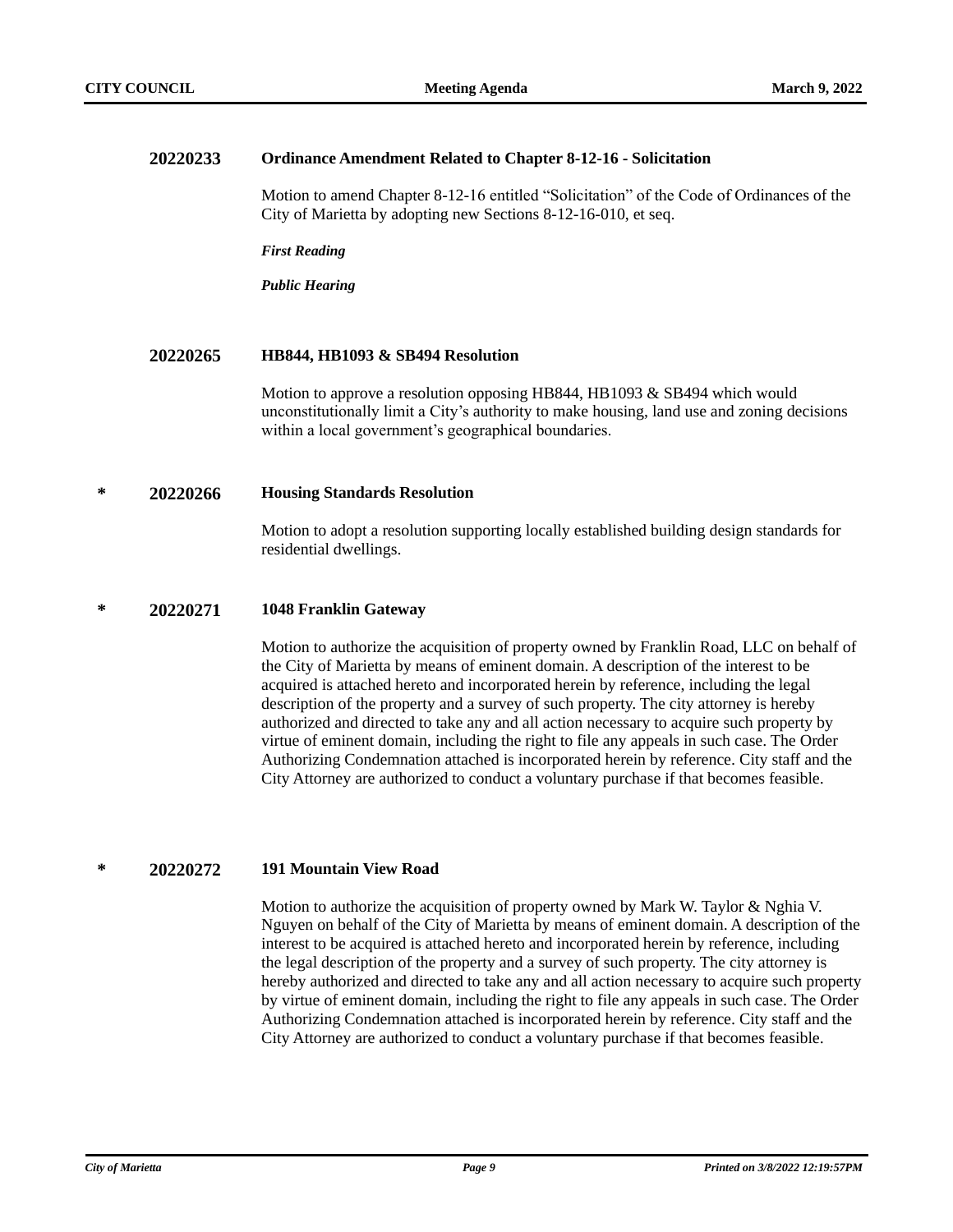#### **20220233 Ordinance Amendment Related to Chapter 8-12-16 - Solicitation**

Motion to amend Chapter 8-12-16 entitled "Solicitation" of the Code of Ordinances of the City of Marietta by adopting new Sections 8-12-16-010, et seq.

*First Reading*

*Public Hearing*

### **20220265 HB844, HB1093 & SB494 Resolution**

Motion to approve a resolution opposing HB844, HB1093 & SB494 which would unconstitutionally limit a City's authority to make housing, land use and zoning decisions within a local government's geographical boundaries.

### **\* 20220266 Housing Standards Resolution**

Motion to adopt a resolution supporting locally established building design standards for residential dwellings.

#### **\* 20220271 1048 Franklin Gateway**

Motion to authorize the acquisition of property owned by Franklin Road, LLC on behalf of the City of Marietta by means of eminent domain. A description of the interest to be acquired is attached hereto and incorporated herein by reference, including the legal description of the property and a survey of such property. The city attorney is hereby authorized and directed to take any and all action necessary to acquire such property by virtue of eminent domain, including the right to file any appeals in such case. The Order Authorizing Condemnation attached is incorporated herein by reference. City staff and the City Attorney are authorized to conduct a voluntary purchase if that becomes feasible.

### **\* 20220272 191 Mountain View Road**

Motion to authorize the acquisition of property owned by Mark W. Taylor & Nghia V. Nguyen on behalf of the City of Marietta by means of eminent domain. A description of the interest to be acquired is attached hereto and incorporated herein by reference, including the legal description of the property and a survey of such property. The city attorney is hereby authorized and directed to take any and all action necessary to acquire such property by virtue of eminent domain, including the right to file any appeals in such case. The Order Authorizing Condemnation attached is incorporated herein by reference. City staff and the City Attorney are authorized to conduct a voluntary purchase if that becomes feasible.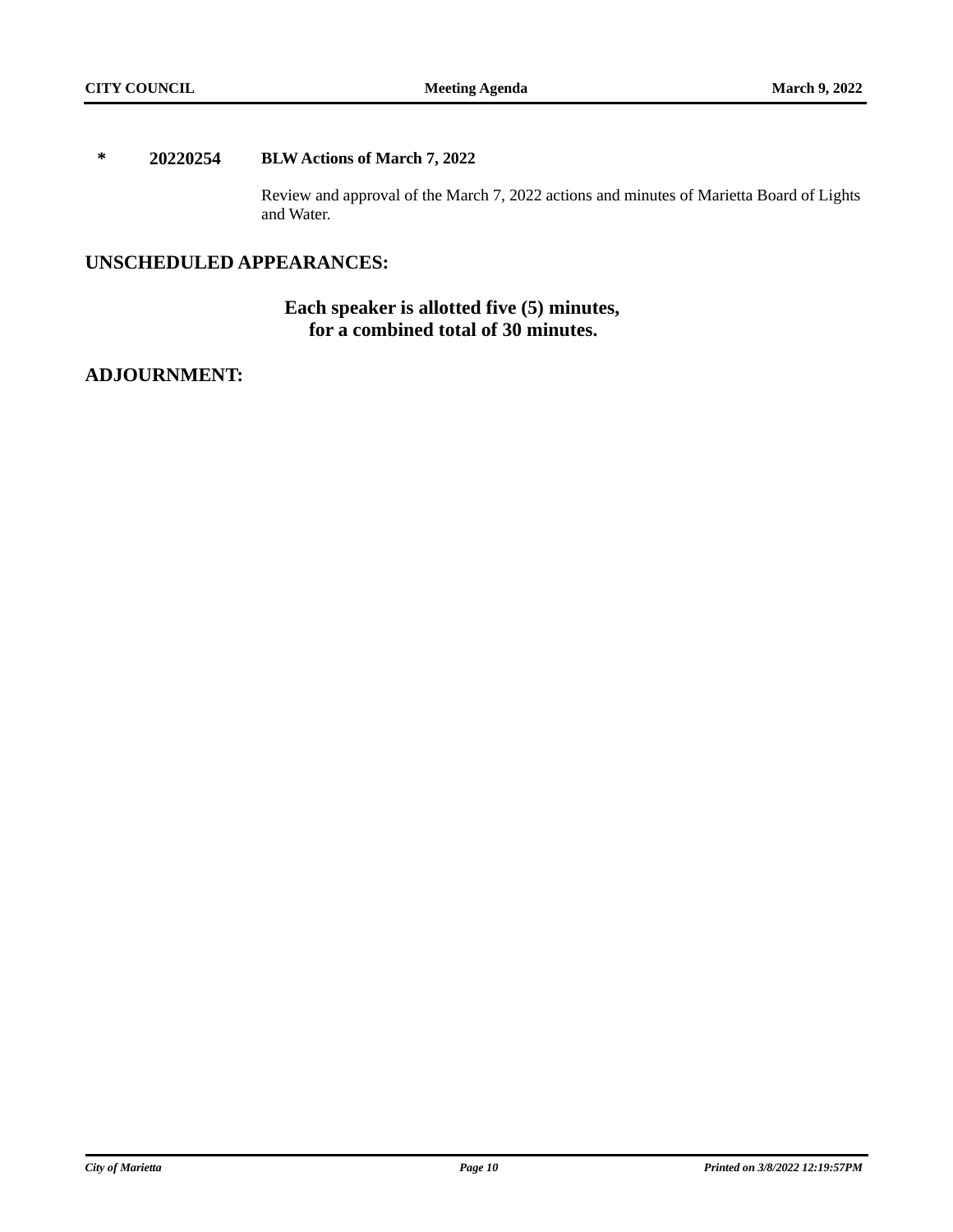### **\* 20220254 BLW Actions of March 7, 2022**

Review and approval of the March 7, 2022 actions and minutes of Marietta Board of Lights and Water.

# **UNSCHEDULED APPEARANCES:**

# **Each speaker is allotted five (5) minutes, for a combined total of 30 minutes.**

# **ADJOURNMENT:**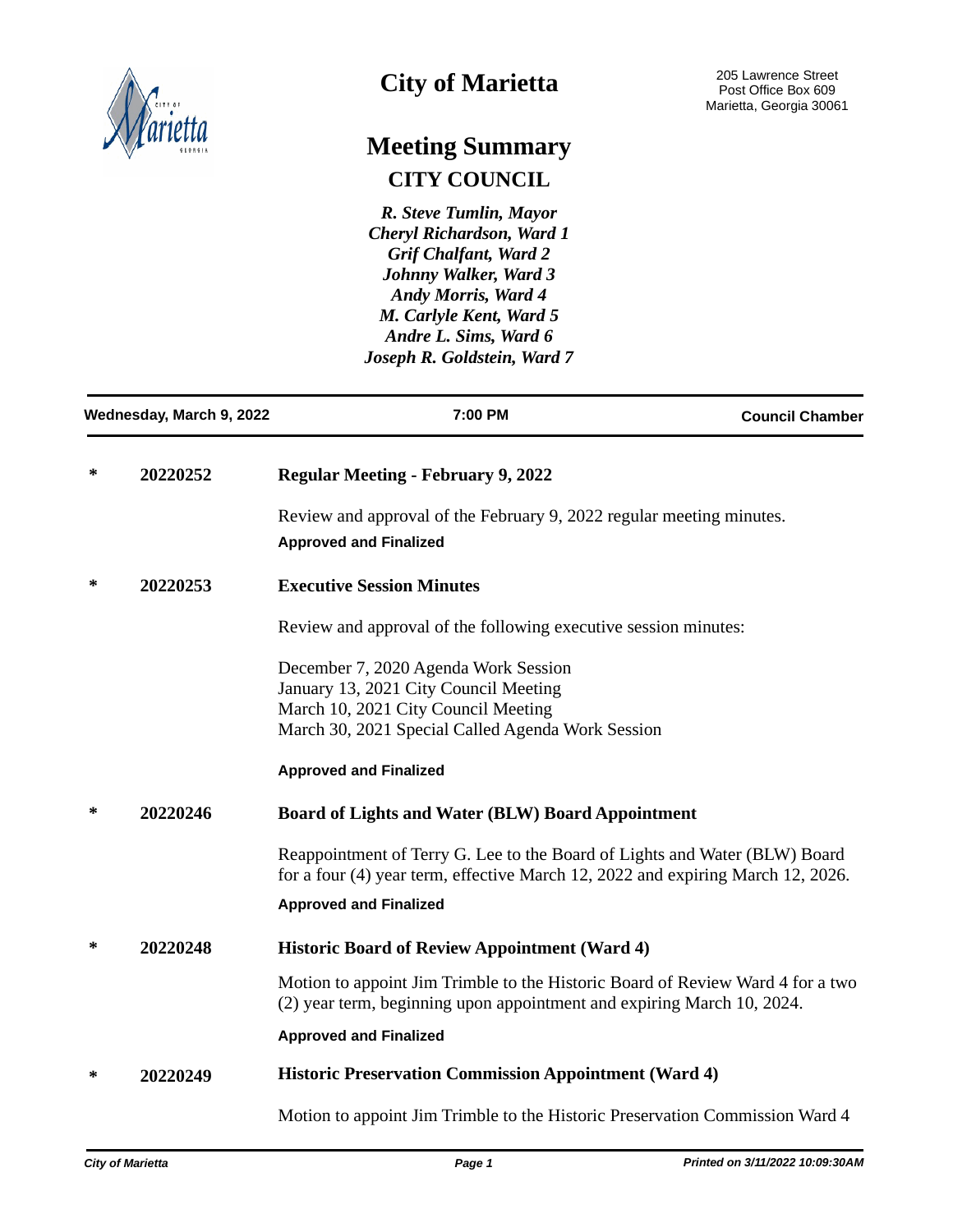

# **City of Marietta**

# **Meeting Summary CITY COUNCIL**

*R. Steve Tumlin, Mayor Cheryl Richardson, Ward 1 Grif Chalfant, Ward 2 Johnny Walker, Ward 3 Andy Morris, Ward 4 M. Carlyle Kent, Ward 5 Andre L. Sims, Ward 6 Joseph R. Goldstein, Ward 7*

| Wednesday, March 9, 2022 |                                                                          | 7:00 PM                                                                                                                                                                   | <b>Council Chamber</b> |  |
|--------------------------|--------------------------------------------------------------------------|---------------------------------------------------------------------------------------------------------------------------------------------------------------------------|------------------------|--|
| ∗<br>20220252            |                                                                          | <b>Regular Meeting - February 9, 2022</b>                                                                                                                                 |                        |  |
|                          |                                                                          | Review and approval of the February 9, 2022 regular meeting minutes.<br><b>Approved and Finalized</b>                                                                     |                        |  |
| ∗                        | 20220253                                                                 | <b>Executive Session Minutes</b>                                                                                                                                          |                        |  |
|                          |                                                                          | Review and approval of the following executive session minutes:                                                                                                           |                        |  |
|                          |                                                                          | December 7, 2020 Agenda Work Session<br>January 13, 2021 City Council Meeting<br>March 10, 2021 City Council Meeting<br>March 30, 2021 Special Called Agenda Work Session |                        |  |
|                          |                                                                          | <b>Approved and Finalized</b>                                                                                                                                             |                        |  |
| 20220246<br>∗            |                                                                          | <b>Board of Lights and Water (BLW) Board Appointment</b>                                                                                                                  |                        |  |
|                          |                                                                          | Reappointment of Terry G. Lee to the Board of Lights and Water (BLW) Board<br>for a four (4) year term, effective March 12, 2022 and expiring March 12, 2026.             |                        |  |
|                          |                                                                          | <b>Approved and Finalized</b>                                                                                                                                             |                        |  |
| ∗                        | 20220248                                                                 | <b>Historic Board of Review Appointment (Ward 4)</b>                                                                                                                      |                        |  |
|                          |                                                                          | Motion to appoint Jim Trimble to the Historic Board of Review Ward 4 for a two<br>(2) year term, beginning upon appointment and expiring March 10, 2024.                  |                        |  |
|                          |                                                                          | <b>Approved and Finalized</b>                                                                                                                                             |                        |  |
| ∗                        | <b>Historic Preservation Commission Appointment (Ward 4)</b><br>20220249 |                                                                                                                                                                           |                        |  |
|                          |                                                                          | Motion to appoint Jim Trimble to the Historic Preservation Commission Ward 4                                                                                              |                        |  |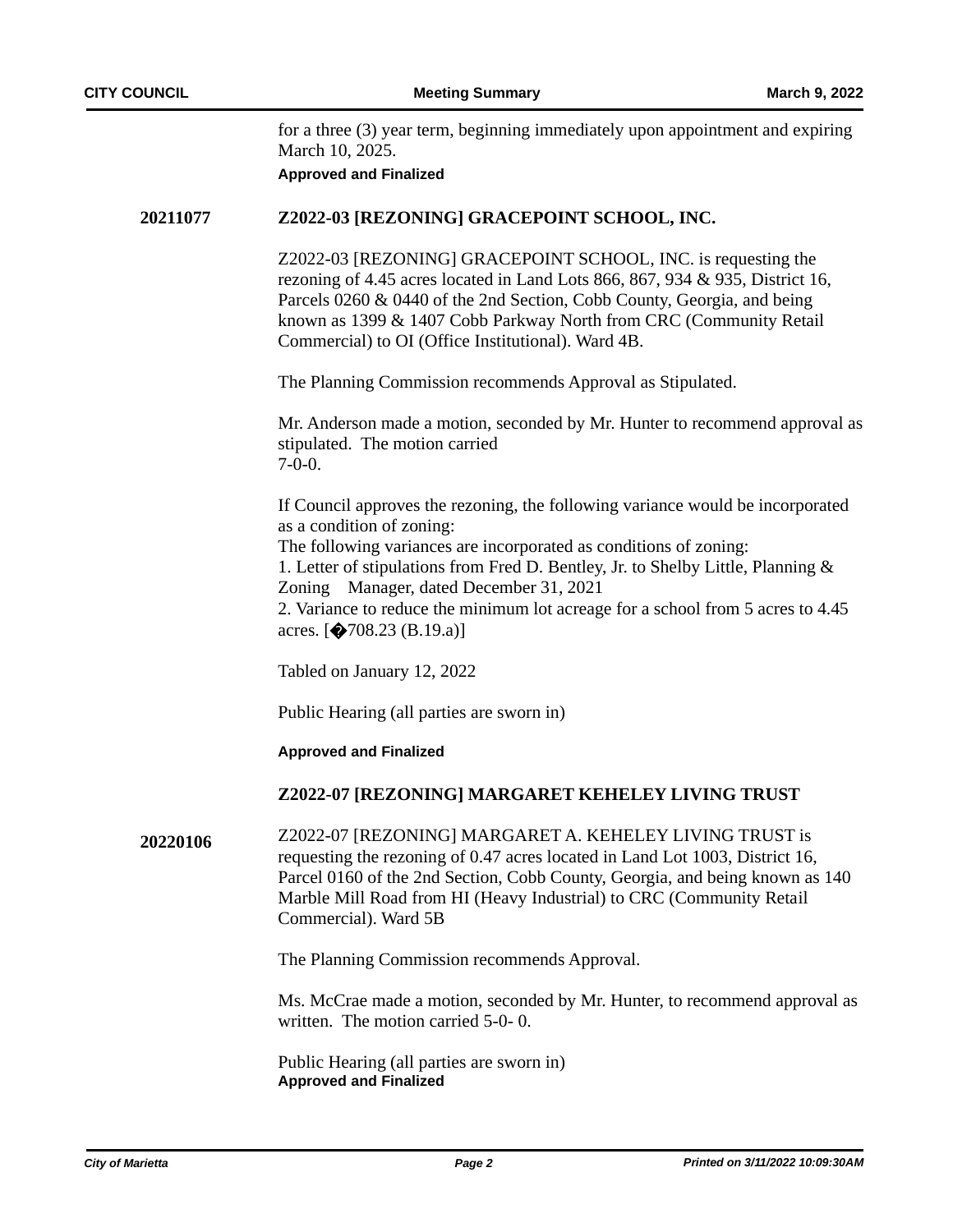for a three (3) year term, beginning immediately upon appointment and expiring March 10, 2025.

**Approved and Finalized**

### **20211077 Z2022-03 [REZONING] GRACEPOINT SCHOOL, INC.**

Z2022-03 [REZONING] GRACEPOINT SCHOOL, INC. is requesting the rezoning of 4.45 acres located in Land Lots 866, 867, 934 & 935, District 16, Parcels 0260 & 0440 of the 2nd Section, Cobb County, Georgia, and being known as 1399 & 1407 Cobb Parkway North from CRC (Community Retail Commercial) to OI (Office Institutional). Ward 4B.

The Planning Commission recommends Approval as Stipulated.

Mr. Anderson made a motion, seconded by Mr. Hunter to recommend approval as stipulated. The motion carried  $7-0-0.$ 

If Council approves the rezoning, the following variance would be incorporated as a condition of zoning: The following variances are incorporated as conditions of zoning: 1. Letter of stipulations from Fred D. Bentley, Jr. to Shelby Little, Planning &

Zoning Manager, dated December 31, 2021

2. Variance to reduce the minimum lot acreage for a school from 5 acres to 4.45 acres.  $[4708.23 \text{ (B.19.a)}]$ 

Tabled on January 12, 2022

Public Hearing (all parties are sworn in)

### **Approved and Finalized**

### **Z2022-07 [REZONING] MARGARET KEHELEY LIVING TRUST**

**20220106** Z2022-07 [REZONING] MARGARET A. KEHELEY LIVING TRUST is requesting the rezoning of 0.47 acres located in Land Lot 1003, District 16, Parcel 0160 of the 2nd Section, Cobb County, Georgia, and being known as 140 Marble Mill Road from HI (Heavy Industrial) to CRC (Community Retail Commercial). Ward 5B

The Planning Commission recommends Approval.

Ms. McCrae made a motion, seconded by Mr. Hunter, to recommend approval as written. The motion carried 5-0- 0.

Public Hearing (all parties are sworn in) **Approved and Finalized**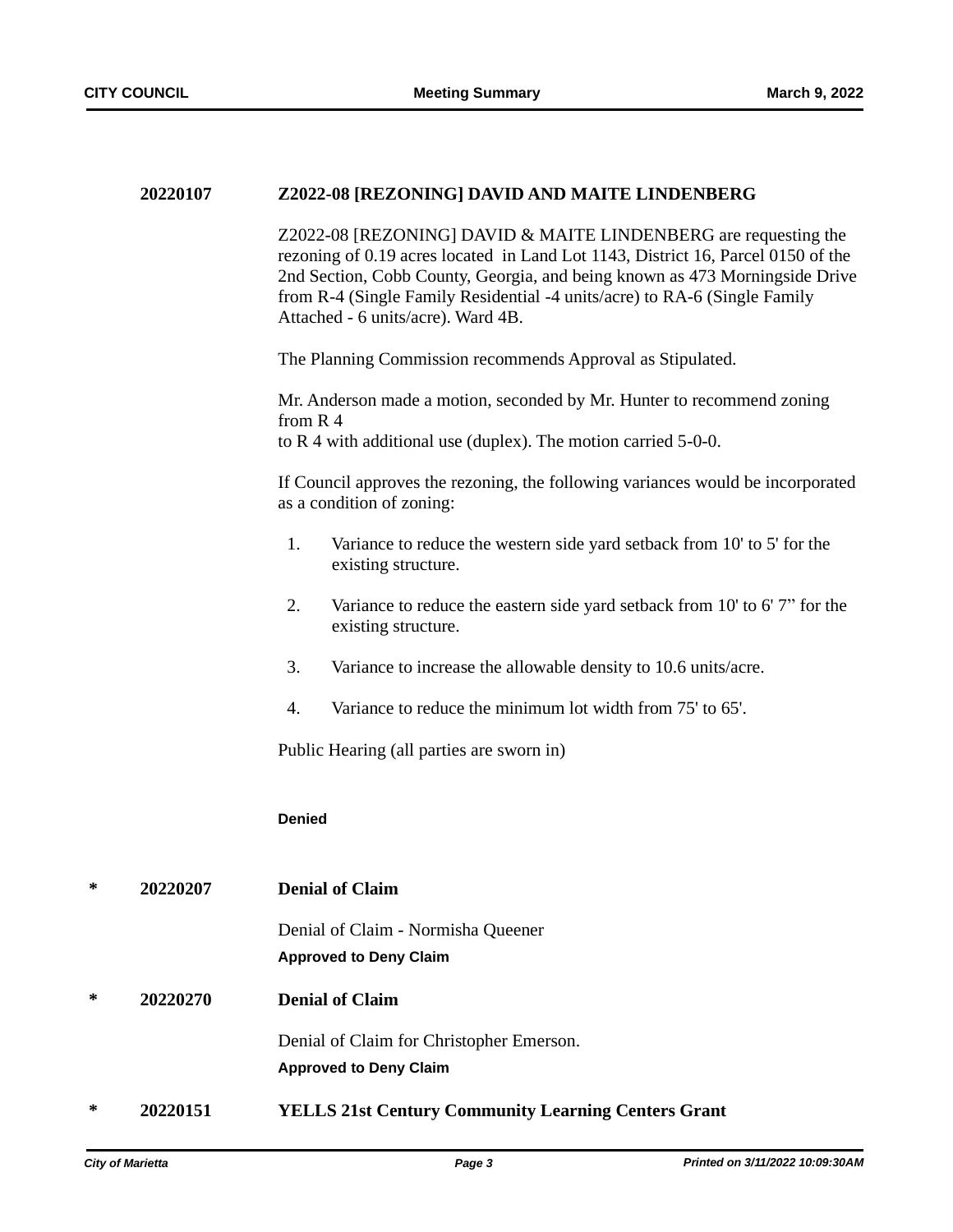#### **20220107 Z2022-08 [REZONING] DAVID AND MAITE LINDENBERG**

Z2022-08 [REZONING] DAVID & MAITE LINDENBERG are requesting the rezoning of 0.19 acres located in Land Lot 1143, District 16, Parcel 0150 of the 2nd Section, Cobb County, Georgia, and being known as 473 Morningside Drive from R-4 (Single Family Residential -4 units/acre) to RA-6 (Single Family Attached - 6 units/acre). Ward 4B.

The Planning Commission recommends Approval as Stipulated.

Mr. Anderson made a motion, seconded by Mr. Hunter to recommend zoning from R 4 to R 4 with additional use (duplex). The motion carried 5-0-0.

If Council approves the rezoning, the following variances would be incorporated as a condition of zoning:

- 1. Variance to reduce the western side yard setback from 10' to 5' for the existing structure.
- 2. Variance to reduce the eastern side yard setback from 10' to 6' 7" for the existing structure.
- 3. Variance to increase the allowable density to 10.6 units/acre.
- 4. Variance to reduce the minimum lot width from 75' to 65'.

Public Hearing (all parties are sworn in)

#### **Denied**

**\* 20220207 Denial of Claim**

Denial of Claim - Normisha Queener **Approved to Deny Claim**

**\* 20220270 Denial of Claim**

Denial of Claim for Christopher Emerson. **Approved to Deny Claim**

**\* 20220151 YELLS 21st Century Community Learning Centers Grant**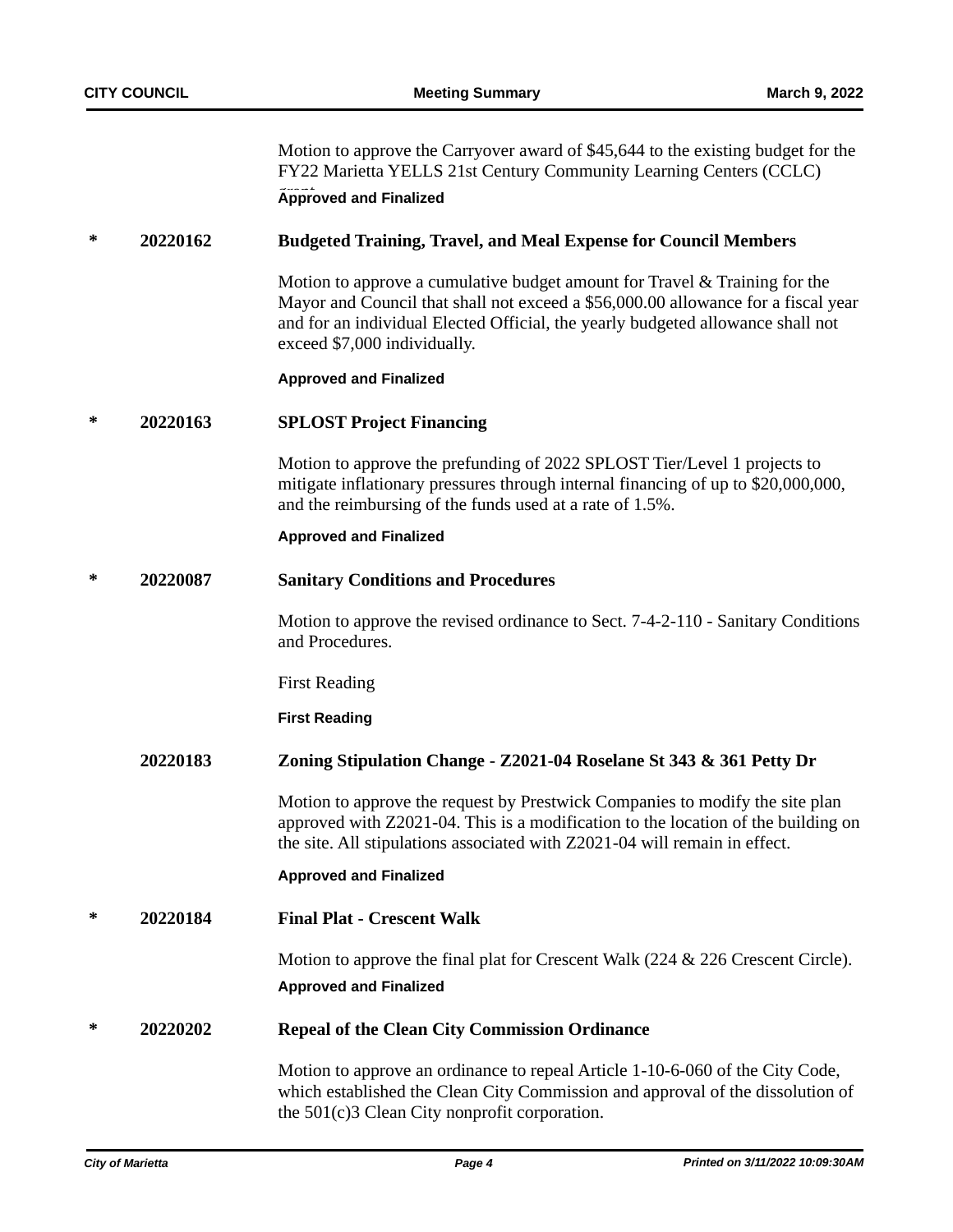Motion to approve the Carryover award of \$45,644 to the existing budget for the FY22 Marietta YELLS 21st Century Community Learning Centers (CCLC) **Approved and Finalized** 

### **\* 20220162 Budgeted Training, Travel, and Meal Expense for Council Members**

Motion to approve a cumulative budget amount for Travel & Training for the Mayor and Council that shall not exceed a \$56,000.00 allowance for a fiscal year and for an individual Elected Official, the yearly budgeted allowance shall not exceed \$7,000 individually.

### **Approved and Finalized**

### **\* 20220163 SPLOST Project Financing**

Motion to approve the prefunding of 2022 SPLOST Tier/Level 1 projects to mitigate inflationary pressures through internal financing of up to \$20,000,000, and the reimbursing of the funds used at a rate of 1.5%.

### **Approved and Finalized**

### **\* 20220087 Sanitary Conditions and Procedures**

Motion to approve the revised ordinance to Sect. 7-4-2-110 - Sanitary Conditions and Procedures.

First Reading

**First Reading**

### **20220183 Zoning Stipulation Change - Z2021-04 Roselane St 343 & 361 Petty Dr**

Motion to approve the request by Prestwick Companies to modify the site plan approved with Z2021-04. This is a modification to the location of the building on the site. All stipulations associated with Z2021-04 will remain in effect.

### **Approved and Finalized**

**\* 20220184 Final Plat - Crescent Walk**

Motion to approve the final plat for Crescent Walk (224 & 226 Crescent Circle). **Approved and Finalized**

# **\* 20220202 Repeal of the Clean City Commission Ordinance**

Motion to approve an ordinance to repeal Article 1-10-6-060 of the City Code, which established the Clean City Commission and approval of the dissolution of the 501(c)3 Clean City nonprofit corporation.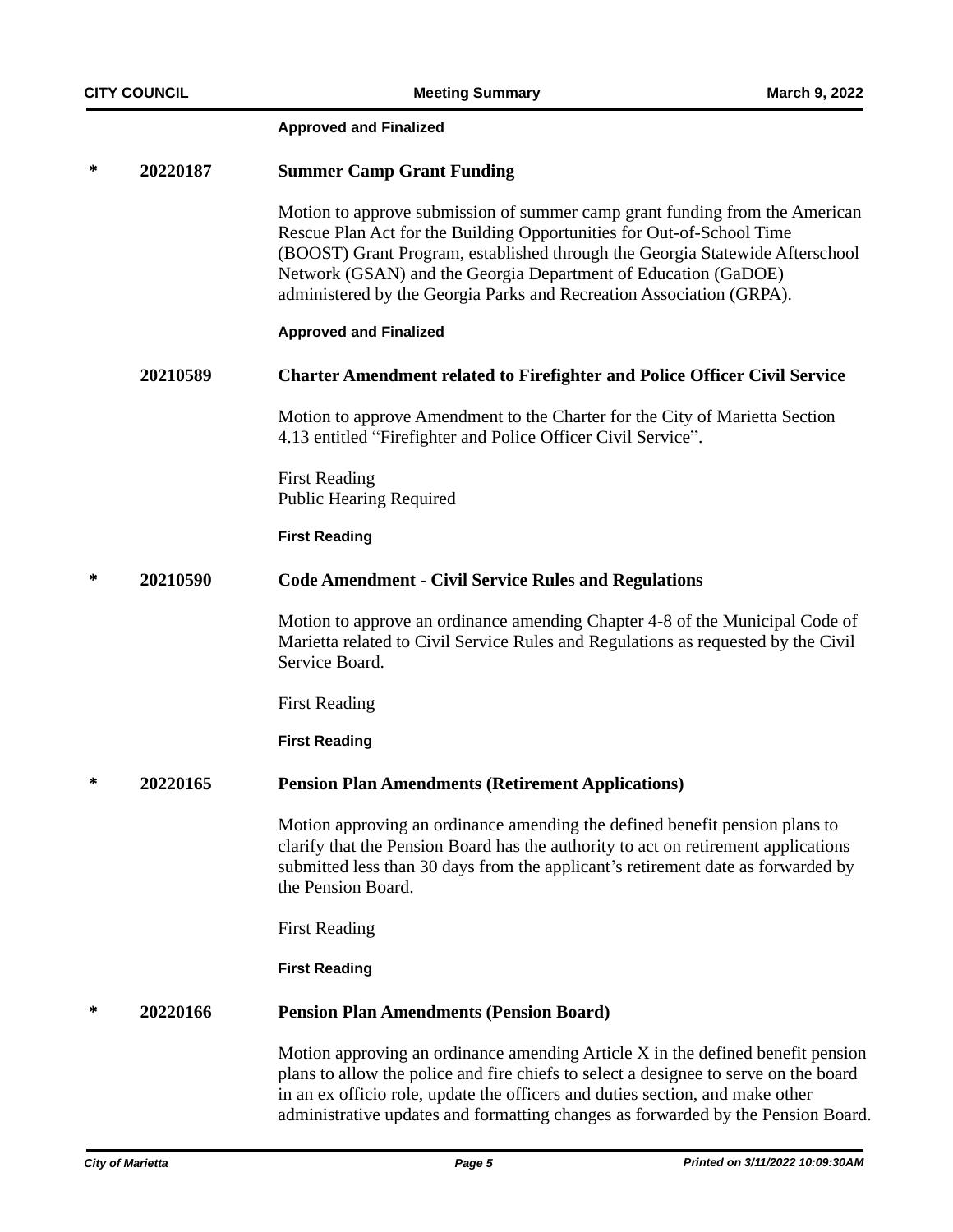#### **Approved and Finalized**

### **\* 20220187 Summer Camp Grant Funding**

Motion to approve submission of summer camp grant funding from the American Rescue Plan Act for the Building Opportunities for Out-of-School Time (BOOST) Grant Program, established through the Georgia Statewide Afterschool Network (GSAN) and the Georgia Department of Education (GaDOE) administered by the Georgia Parks and Recreation Association (GRPA).

### **Approved and Finalized**

### **20210589 Charter Amendment related to Firefighter and Police Officer Civil Service**

Motion to approve Amendment to the Charter for the City of Marietta Section 4.13 entitled "Firefighter and Police Officer Civil Service".

First Reading Public Hearing Required

### **First Reading**

#### **\* 20210590 Code Amendment - Civil Service Rules and Regulations**

Motion to approve an ordinance amending Chapter 4-8 of the Municipal Code of Marietta related to Civil Service Rules and Regulations as requested by the Civil Service Board.

First Reading

**First Reading**

### **\* 20220165 Pension Plan Amendments (Retirement Applications)**

Motion approving an ordinance amending the defined benefit pension plans to clarify that the Pension Board has the authority to act on retirement applications submitted less than 30 days from the applicant's retirement date as forwarded by the Pension Board.

First Reading

**First Reading**

### **\* 20220166 Pension Plan Amendments (Pension Board)**

Motion approving an ordinance amending Article X in the defined benefit pension plans to allow the police and fire chiefs to select a designee to serve on the board in an ex officio role, update the officers and duties section, and make other administrative updates and formatting changes as forwarded by the Pension Board.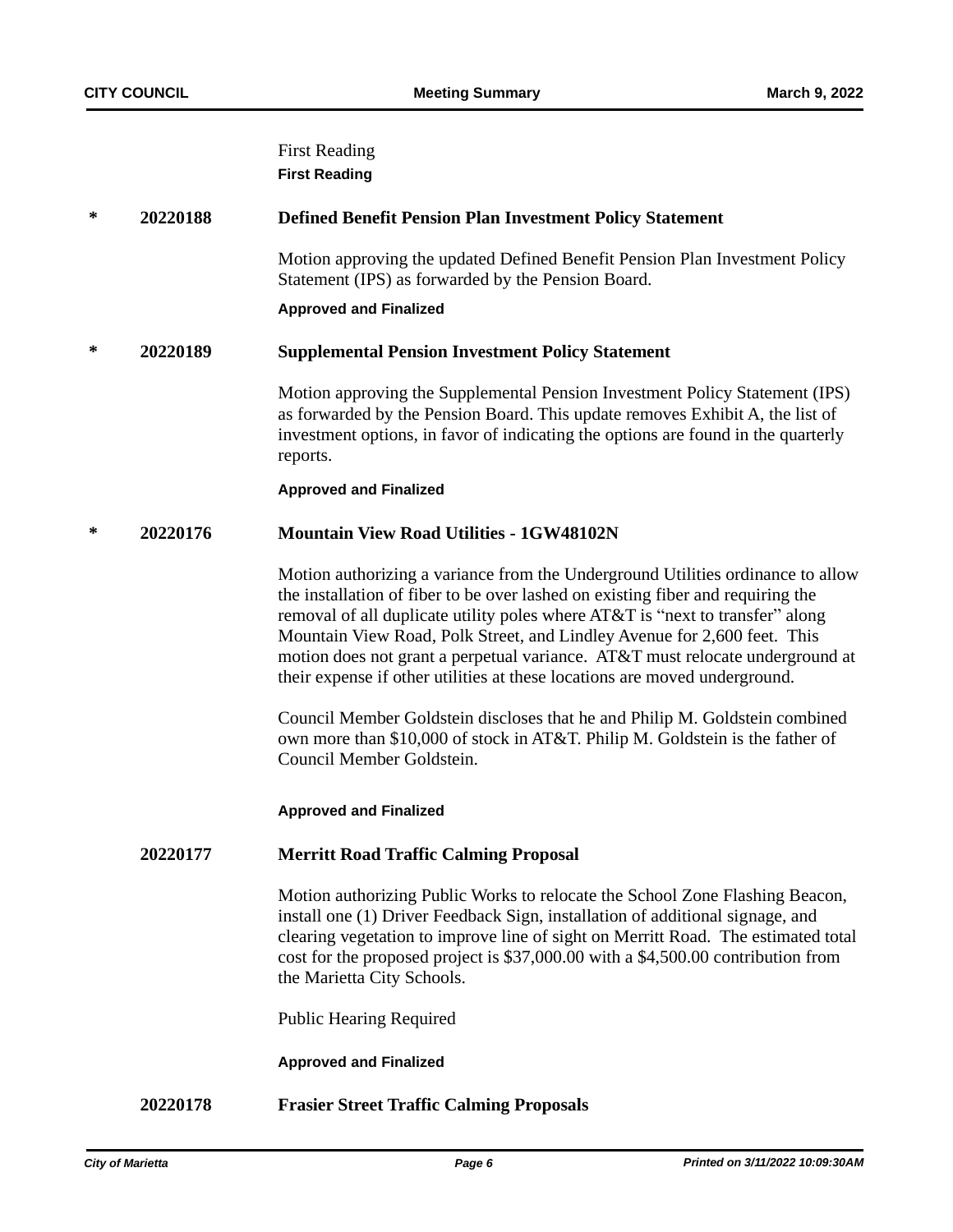## First Reading **First Reading**

### **\* 20220188 Defined Benefit Pension Plan Investment Policy Statement**

Motion approving the updated Defined Benefit Pension Plan Investment Policy Statement (IPS) as forwarded by the Pension Board.

#### **Approved and Finalized**

### **\* 20220189 Supplemental Pension Investment Policy Statement**

Motion approving the Supplemental Pension Investment Policy Statement (IPS) as forwarded by the Pension Board. This update removes Exhibit A, the list of investment options, in favor of indicating the options are found in the quarterly reports.

#### **Approved and Finalized**

### **\* 20220176 Mountain View Road Utilities - 1GW48102N**

Motion authorizing a variance from the Underground Utilities ordinance to allow the installation of fiber to be over lashed on existing fiber and requiring the removal of all duplicate utility poles where AT&T is "next to transfer" along Mountain View Road, Polk Street, and Lindley Avenue for 2,600 feet. This motion does not grant a perpetual variance. AT&T must relocate underground at their expense if other utilities at these locations are moved underground.

Council Member Goldstein discloses that he and Philip M. Goldstein combined own more than \$10,000 of stock in AT&T. Philip M. Goldstein is the father of Council Member Goldstein.

### **Approved and Finalized**

### **20220177 Merritt Road Traffic Calming Proposal**

Motion authorizing Public Works to relocate the School Zone Flashing Beacon, install one (1) Driver Feedback Sign, installation of additional signage, and clearing vegetation to improve line of sight on Merritt Road. The estimated total cost for the proposed project is \$37,000.00 with a \$4,500.00 contribution from the Marietta City Schools.

Public Hearing Required

### **Approved and Finalized**

### **20220178 Frasier Street Traffic Calming Proposals**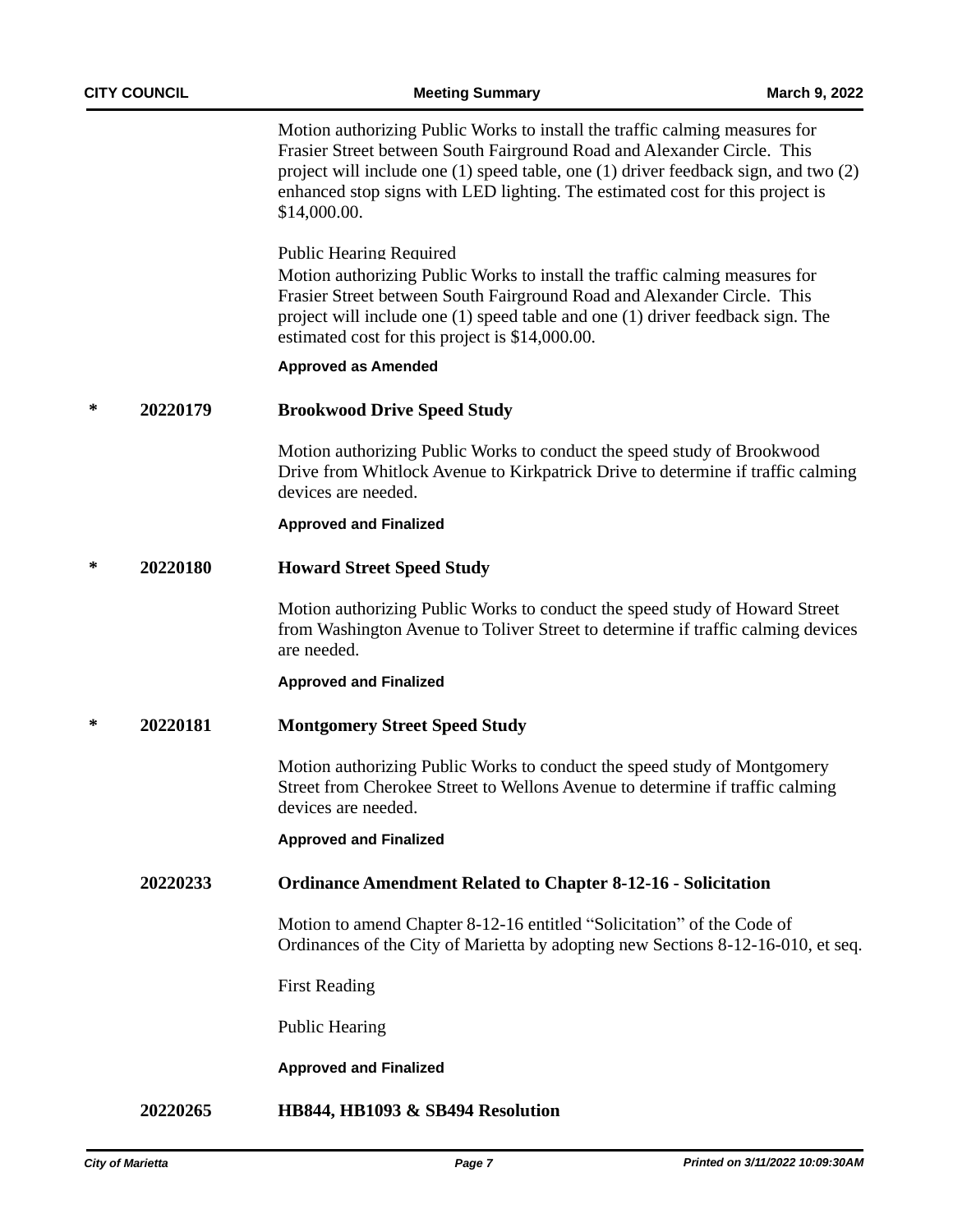Motion authorizing Public Works to install the traffic calming measures for Frasier Street between South Fairground Road and Alexander Circle. This project will include one (1) speed table, one (1) driver feedback sign, and two (2) enhanced stop signs with LED lighting. The estimated cost for this project is \$14,000.00.

Public Hearing Required

Motion authorizing Public Works to install the traffic calming measures for Frasier Street between South Fairground Road and Alexander Circle. This project will include one (1) speed table and one (1) driver feedback sign. The estimated cost for this project is \$14,000.00.

### **Approved as Amended**

### **\* 20220179 Brookwood Drive Speed Study**

Motion authorizing Public Works to conduct the speed study of Brookwood Drive from Whitlock Avenue to Kirkpatrick Drive to determine if traffic calming devices are needed.

### **Approved and Finalized**

### **\* 20220180 Howard Street Speed Study**

Motion authorizing Public Works to conduct the speed study of Howard Street from Washington Avenue to Toliver Street to determine if traffic calming devices are needed.

### **Approved and Finalized**

### **\* 20220181 Montgomery Street Speed Study**

Motion authorizing Public Works to conduct the speed study of Montgomery Street from Cherokee Street to Wellons Avenue to determine if traffic calming devices are needed.

### **Approved and Finalized**

### **20220233 Ordinance Amendment Related to Chapter 8-12-16 - Solicitation**

Motion to amend Chapter 8-12-16 entitled "Solicitation" of the Code of Ordinances of the City of Marietta by adopting new Sections 8-12-16-010, et seq.

First Reading

Public Hearing

### **Approved and Finalized**

## **20220265 HB844, HB1093 & SB494 Resolution**